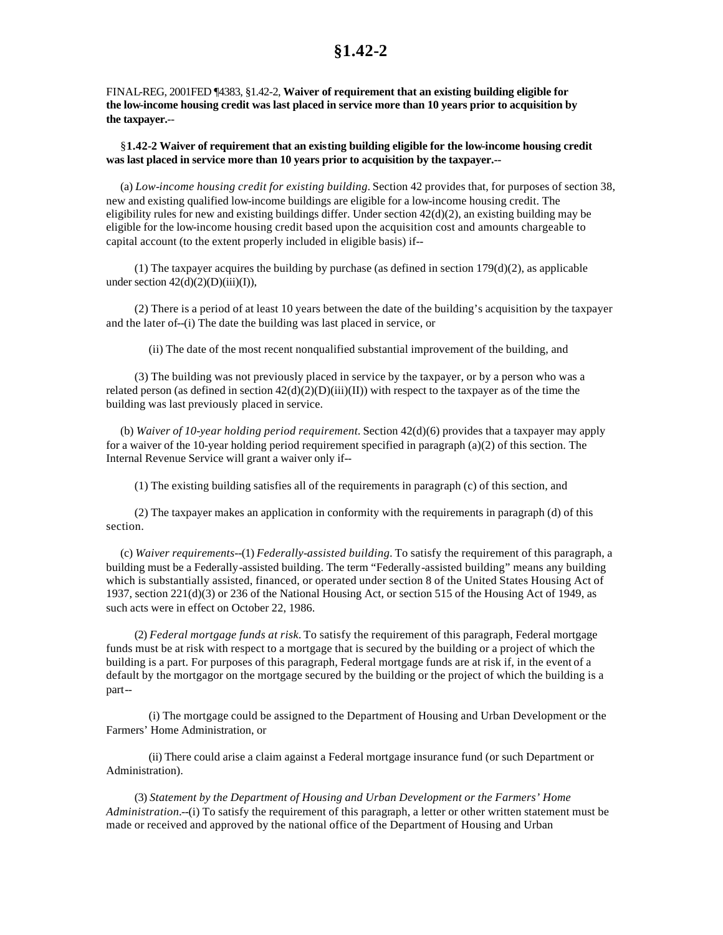## **§1.42-2**

FINAL-REG, 2001FED ¶4383, §1.42-2, **Waiver of requirement that an existing building eligible for the low-income housing credit was last placed in service more than 10 years prior to acquisition by the taxpayer.**--

§**1.42-2 Waiver of requirement that an existing building eligible for the low-income housing credit was last placed in service more than 10 years prior to acquisition by the taxpayer.--**

(a) *Low-income housing credit for existing building.* Section 42 provides that, for purposes of section 38, new and existing qualified low-income buildings are eligible for a low-income housing credit. The eligibility rules for new and existing buildings differ. Under section 42(d)(2), an existing building may be eligible for the low-income housing credit based upon the acquisition cost and amounts chargeable to capital account (to the extent properly included in eligible basis) if--

(1) The taxpayer acquires the building by purchase (as defined in section  $179(d)(2)$ , as applicable under section  $42(d)(2)(D)(iii)(I)$ ),

(2) There is a period of at least 10 years between the date of the building's acquisition by the taxpayer and the later of--(i) The date the building was last placed in service, or

(ii) The date of the most recent nonqualified substantial improvement of the building, and

(3) The building was not previously placed in service by the taxpayer, or by a person who was a related person (as defined in section  $42(d)(2)(D)(iii)(II))$  with respect to the taxpayer as of the time the building was last previously placed in service.

(b) *Waiver of 10-year holding period requirement.* Section 42(d)(6) provides that a taxpayer may apply for a waiver of the 10-year holding period requirement specified in paragraph (a)(2) of this section. The Internal Revenue Service will grant a waiver only if--

(1) The existing building satisfies all of the requirements in paragraph (c) of this section, and

(2) The taxpayer makes an application in conformity with the requirements in paragraph (d) of this section.

(c) *Waiver requirements*--(1) *Federally-assisted building.* To satisfy the requirement of this paragraph, a building must be a Federally-assisted building. The term "Federally-assisted building" means any building which is substantially assisted, financed, or operated under section 8 of the United States Housing Act of 1937, section 221(d)(3) or 236 of the National Housing Act, or section 515 of the Housing Act of 1949, as such acts were in effect on October 22, 1986.

(2) *Federal mortgage funds at risk.* To satisfy the requirement of this paragraph, Federal mortgage funds must be at risk with respect to a mortgage that is secured by the building or a project of which the building is a part. For purposes of this paragraph, Federal mortgage funds are at risk if, in the event of a default by the mortgagor on the mortgage secured by the building or the project of which the building is a part--

(i) The mortgage could be assigned to the Department of Housing and Urban Development or the Farmers' Home Administration, or

(ii) There could arise a claim against a Federal mortgage insurance fund (or such Department or Administration).

(3) *Statement by the Department of Housing and Urban Development or the Farmers' Home Administration.*--(i) To satisfy the requirement of this paragraph, a letter or other written statement must be made or received and approved by the national office of the Department of Housing and Urban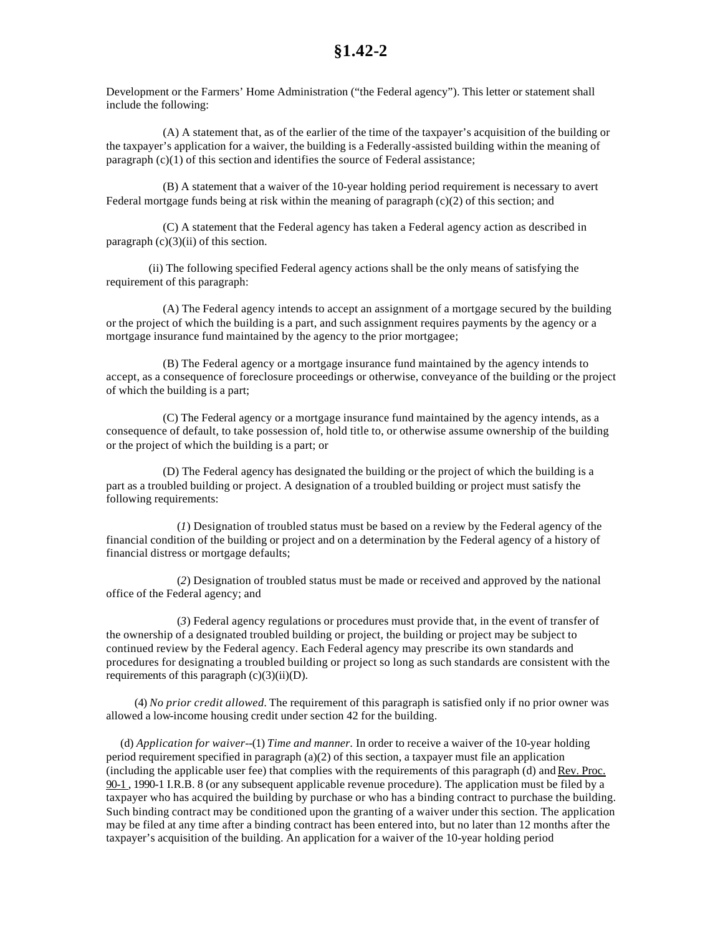Development or the Farmers' Home Administration ("the Federal agency"). This letter or statement shall include the following:

(A) A statement that, as of the earlier of the time of the taxpayer's acquisition of the building or the taxpayer's application for a waiver, the building is a Federally-assisted building within the meaning of paragraph  $(c)(1)$  of this section and identifies the source of Federal assistance;

(B) A statement that a waiver of the 10-year holding period requirement is necessary to avert Federal mortgage funds being at risk within the meaning of paragraph  $(c)(2)$  of this section; and

(C) A statement that the Federal agency has taken a Federal agency action as described in paragraph  $(c)(3)(ii)$  of this section.

(ii) The following specified Federal agency actions shall be the only means of satisfying the requirement of this paragraph:

(A) The Federal agency intends to accept an assignment of a mortgage secured by the building or the project of which the building is a part, and such assignment requires payments by the agency or a mortgage insurance fund maintained by the agency to the prior mortgagee;

(B) The Federal agency or a mortgage insurance fund maintained by the agency intends to accept, as a consequence of foreclosure proceedings or otherwise, conveyance of the building or the project of which the building is a part;

(C) The Federal agency or a mortgage insurance fund maintained by the agency intends, as a consequence of default, to take possession of, hold title to, or otherwise assume ownership of the building or the project of which the building is a part; or

(D) The Federal agency has designated the building or the project of which the building is a part as a troubled building or project. A designation of a troubled building or project must satisfy the following requirements:

(*1*) Designation of troubled status must be based on a review by the Federal agency of the financial condition of the building or project and on a determination by the Federal agency of a history of financial distress or mortgage defaults;

(*2*) Designation of troubled status must be made or received and approved by the national office of the Federal agency; and

(*3*) Federal agency regulations or procedures must provide that, in the event of transfer of the ownership of a designated troubled building or project, the building or project may be subject to continued review by the Federal agency. Each Federal agency may prescribe its own standards and procedures for designating a troubled building or project so long as such standards are consistent with the requirements of this paragraph  $(c)(3)(ii)(D)$ .

(4) *No prior credit allowed.* The requirement of this paragraph is satisfied only if no prior owner was allowed a low-income housing credit under section 42 for the building.

(d) *Application for waiver*--(1) *Time and manner.* In order to receive a waiver of the 10-year holding period requirement specified in paragraph (a)(2) of this section, a taxpayer must file an application (including the applicable user fee) that complies with the requirements of this paragraph (d) and Rev. Proc. 90-1 , 1990-1 I.R.B. 8 (or any subsequent applicable revenue procedure). The application must be filed by a taxpayer who has acquired the building by purchase or who has a binding contract to purchase the building. Such binding contract may be conditioned upon the granting of a waiver under this section. The application may be filed at any time after a binding contract has been entered into, but no later than 12 months after the taxpayer's acquisition of the building. An application for a waiver of the 10-year holding period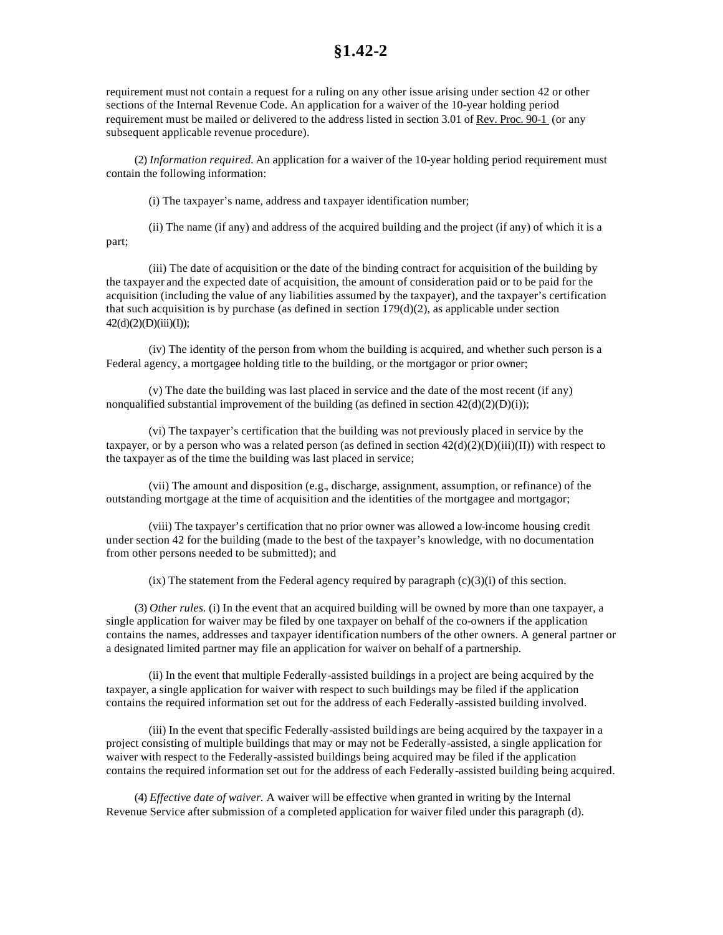## **§1.42-2**

requirement must not contain a request for a ruling on any other issue arising under section 42 or other sections of the Internal Revenue Code. An application for a waiver of the 10-year holding period requirement must be mailed or delivered to the address listed in section 3.01 of Rev. Proc. 90-1 (or any subsequent applicable revenue procedure).

(2) *Information required.* An application for a waiver of the 10-year holding period requirement must contain the following information:

(i) The taxpayer's name, address and taxpayer identification number;

(ii) The name (if any) and address of the acquired building and the project (if any) of which it is a part;

(iii) The date of acquisition or the date of the binding contract for acquisition of the building by the taxpayer and the expected date of acquisition, the amount of consideration paid or to be paid for the acquisition (including the value of any liabilities assumed by the taxpayer), and the taxpayer's certification that such acquisition is by purchase (as defined in section  $179(d)(2)$ , as applicable under section  $42(d)(2)(D)(iii)(I));$ 

(iv) The identity of the person from whom the building is acquired, and whether such person is a Federal agency, a mortgagee holding title to the building, or the mortgagor or prior owner;

(v) The date the building was last placed in service and the date of the most recent (if any) nonqualified substantial improvement of the building (as defined in section  $42(d)(2)(D)(i)$ );

(vi) The taxpayer's certification that the building was not previously placed in service by the taxpayer, or by a person who was a related person (as defined in section  $42(d)(2)(D)(iii)(II)$ ) with respect to the taxpayer as of the time the building was last placed in service;

(vii) The amount and disposition (e.g., discharge, assignment, assumption, or refinance) of the outstanding mortgage at the time of acquisition and the identities of the mortgagee and mortgagor;

(viii) The taxpayer's certification that no prior owner was allowed a low-income housing credit under section 42 for the building (made to the best of the taxpayer's knowledge, with no documentation from other persons needed to be submitted); and

 $(ix)$  The statement from the Federal agency required by paragraph  $(c)(3)(i)$  of this section.

(3) *Other rules.* (i) In the event that an acquired building will be owned by more than one taxpayer, a single application for waiver may be filed by one taxpayer on behalf of the co-owners if the application contains the names, addresses and taxpayer identification numbers of the other owners. A general partner or a designated limited partner may file an application for waiver on behalf of a partnership.

(ii) In the event that multiple Federally-assisted buildings in a project are being acquired by the taxpayer, a single application for waiver with respect to such buildings may be filed if the application contains the required information set out for the address of each Federally-assisted building involved.

(iii) In the event that specific Federally-assisted buildings are being acquired by the taxpayer in a project consisting of multiple buildings that may or may not be Federally-assisted, a single application for waiver with respect to the Federally-assisted buildings being acquired may be filed if the application contains the required information set out for the address of each Federally-assisted building being acquired.

(4) *Effective date of waiver.* A waiver will be effective when granted in writing by the Internal Revenue Service after submission of a completed application for waiver filed under this paragraph (d).